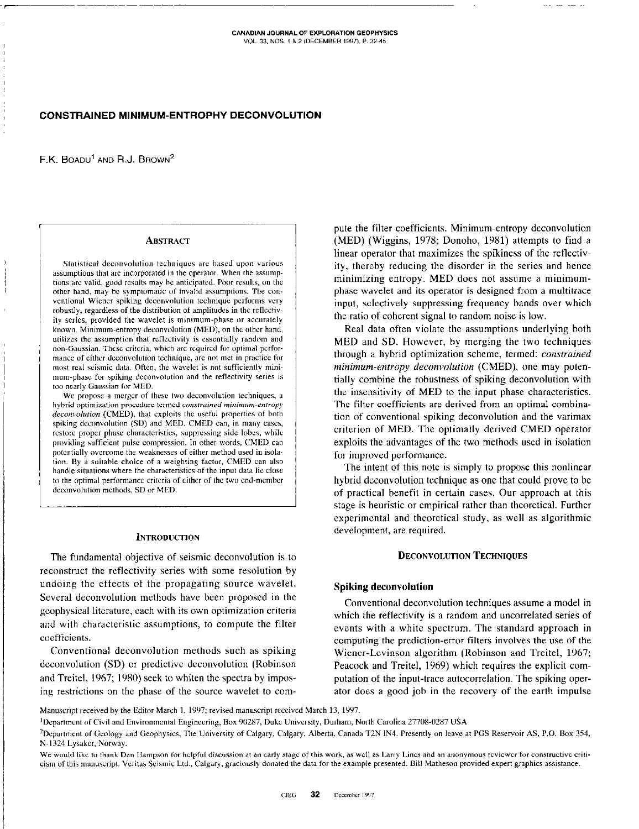# CONSTRAINED MINIMUM-ENTROPHY DECONVOLUTION

F.K. BOADU<sup>1</sup> AND R.J. BROWN<sup>2</sup>

### **ABSTRACT**

Statistical deconvolution techniques are based upon various assumptions that are incorporated in the operator. When the assumptions are valid, good results may be anticipated. Poor results, on the other hand, may be symptomatic of invalid assumptions. The conventional Wiener spiking deconvolution technique performs very robustly, regardless of the distribution of amplitudes in the reflectivity series, provided the wavelet is minimum-phase or accurately known. Minimum-entropy deconvolution (MED), on the other hand, utilizes the assumption that reflectivity is essentially random and non-Gaussian. These criteria, which are required for optimal performance of either deconvolution technique, are not met in practice for most real seismic data. Often, the wavelet is not sufficiently minimum-phase for spiking deconvolution and the reflectivity series is too nearly Gaussian for MED.

We propose a merger of these two deconvolution techniques, a hybrid optimization procedure termed constrained minimum-entropy deconvolution (CMED), that exploits the useful properties of both spiking deconvolution (SD) and MED. CMED can, in many cases, restore proper phase characteristics, suppressing side lobes, while providing sufficient pulse compression. In other words, CMED can potentially overcome the weaknesses of either method used in isolation. By a suitable choice of a weighting factor, CMED can also handle situations where the characteristics of the input data lie close to the optimal performance criteria of either of the two end-member deconvolution methods, SD or MED.

#### **INTRODUCTION**

The fundamental objective of seismic deconvolution is to reconstruct the reflectivity series with some resolution by undoing the effects of the propagating source wavelet. Several deconvolution methods have been proposed in the geophysical literature, each with its own optimization criteria and with characteristic assumptions, to compute the filter coefficients.

Conventional deconvolution methods such as spiking deconvolution (SD) or predictive deconvolution (Robinson and Treitel, 1967; 1980) seek to whiten the spectra by imposing restrictions on the phase of the source wavelet to com-

pute the filter coefficients. Minimum-entropy deconvolution (MED) (Wiggins, 1978; Donoho, 1981) attempts to find a linear operator that maximizes the spikiness of the reflectivity, thereby reducing the disorder in the series and hence minimizing entropy. MED does not assume a minimumphase wavelet and its operator is designed from a multitrace input, selectively suppressing frequency bands over which the ratio of coherent signal to random noise is low.

Real data often violate the assumptions underlying both MED and SD. However, by merging the two techniques through a hybrid optimization scheme, termed: constrained minimum-entropy deconvolution (CMED), one may potentially combine the robustness of spiking deconvolution with the insensitivity of MED to the input phase characteristics. The filter coefficients are derived from an optimal combination of conventional spiking deconvolution and the varimax criterion of MED. The optimally derived CMED operator exploits the advantages of the two methods used in isolation for improved performance.

The intent of this note is simply to propose this nonlinear hybrid deconvolution technique as one that could prove to be of practical benefit in certain cases. Our approach at this stage is heuristic or empirical rather than theoretical. Further experimental and theoretical study, as well as algorithmic development, are required.

### **DECONVOLUTION TECHNIQUES**

# **Spiking deconvolution**

Conventional deconvolution techniques assume a model in which the reflectivity is a random and uncorrelated series of events with a white spectrum. The standard approach in computing the prediction-error filters involves the use of the Wiener-Levinson algorithm (Robinson and Treitel, 1967; Peacock and Treitel, 1969) which requires the explicit computation of the input-trace autocorrelation. The spiking operator does a good job in the recovery of the earth impulse

Manuscript received by the Editor March 1, 1997; revised manuscript received March 13, 1997.

<sup>1</sup>Department of Civil and Environmental Engineering, Box 90287, Duke University, Durham, North Carolina 27708-0287 USA

<sup>2</sup>Department of Geology and Geophysics, The University of Calgary, Calgary, Alberta, Canada T2N IN4. Presently on leave at PGS Reservoir AS, P.O. Box 354, N-1324 Lysaker, Norway.

We would like to thank Dan Hampson for helpful discussion at an early stage of this work, as well as Larry Lines and an anonymous reviewer for constructive criticism of this manuscript. Veritas Seismic Ltd., Calgary, graciously donated the data for the example presented. Bill Matheson provided expert graphics assistance.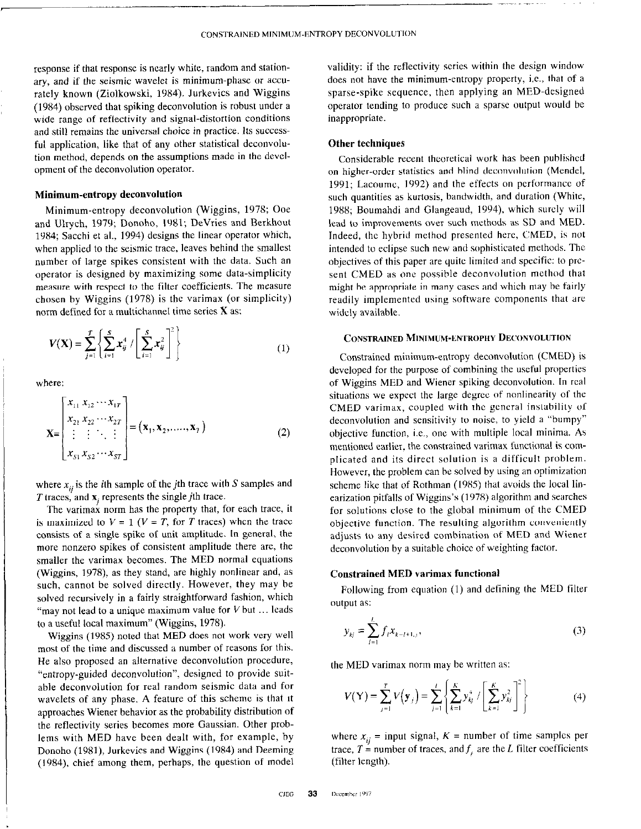response if that response is nearly white, random and stationary, and if the seismic wavelet is minimum-phase or accurately known (Ziolkowski, 1984). Jurkevics and Wiggins (19X4) observed that spiking deconvolution is robust under a wide range of reflectivity and signal-distortion conditions and still remains the universal choice in practice. Its successful application, like that of any other statistical deconvolution method, depends on the assumptions made in the development of the deconvolution operator.

# Minimum-entropy deconvolution

Minimum-entropy deconvolution (Wiggins, 197X; Ooe and Ulrych, 1979; Donoho, 1981; DeVries and Berkhout 19X4; Sacchi et al., 1994) designs the linear operator which, when applied to the seismic trace, leaves behind the smallest number of large spikes consistent with the data. Such an operator is designed by maximizing some data-simplicity measure with respect to the filter coefficients. The measure chosen by Wiggins (197X) is the varimax (or simplicity) norm defined for a multichannel time series X as:

$$
V(X) = \sum_{j=1}^{T} \left\{ \sum_{i=1}^{S} x_{ij}^{4} / \left[ \sum_{i=1}^{S} x_{ij}^{2} \right]^{2} \right\}
$$
 (1)

where:

$$
\mathbf{X} = \begin{bmatrix} x_{11} & x_{12} & \cdots & x_{1T} \\ x_{21} & x_{22} & \cdots & x_{2T} \\ \vdots & \vdots & \ddots & \vdots \\ x_{S1} & x_{S2} & \cdots & x_{ST} \end{bmatrix} = (\mathbf{x}_1, \mathbf{x}_2, \dots, \mathbf{x}_T) \tag{2}
$$

where  $x_{ij}$  is the *i*th sample of the *j*th trace with S samples and  $T$  traces, and  $x_i$  represents the single jth trace.

The varimax norm has the property that, for each trace, it is maximized to  $V = 1$  ( $V = T$ , for T traces) when the trace consists of a single spike of unit amplitude. In general, the more nonzero spikes of consistent amplitude there are, the smaller the varimax becomes. The MED normal equations (Wiggins, 1978), as they stand, are highly nonlinear and, as such, cannot be solved directly. However, they may be solved recursively in a fairly straightforward fashion, which "may not lead to a unique maximum value for  $V$  but  $\ldots$  leads to a useful local maximum" (Wiggins, 1978).

Wiggins (1985) noted that MED does not work very well most of the time and discussed a number of reasons for this. He also proposed an alternative deconvolution procedure, "entropy-guided deconvolution", designed to provide suitable deconvolution for real random seismic data and for wavelets of any phase. A feature of this scheme is that it approaches Wiener behavior as the probability distribution of the reflectivity series becomes more Gaussian. Other problems with MED have been dealt with, for example, by Donoho (1981), Jurkevics and Wiggins (1984) and Deeming  $(1984)$ , chief among them, perhaps, the question of model validity: if the reflectivity series within the design window does not have the minimum-entropy property, i.e., that of a sparse-spike sequence, then applying an MED.designed operator tending to produce such a sparse output would be inappropriate.

-

## Other techniques

Considerable recent theoretical work has been published on higher-order statistics and blind deconvolution (Mendel, 1991; Lacoume, 1992) and the effects on performance of such quantities as kurtosis, bandwidth, and duration (White, 1988; Boumahdi and Glangeaud, 1994), which surely will lead to improvements over such methods as SD and MED. Indeed, the hybrid method presented here, CMED, is not intended to eclipse such new and sophisticated methods. The objectives of this paper are quite limited and specific: to prcsent CMED as one possible deconvolution method that might be appropriate in many cases and which may he fairly readily implemented using software components that are widely available.

# CONSTRAINED MINIMUM-ENTROPHY DECONVOLUTION

Constrained minimum-entropy deconvolution (CMED) is developed for the purpose of combining the useful properties of Wiggins MED and Wiener spiking deconvolution. In real situations we expect the large degree of nonlinearity of the CMED varimax, coupled with the general instability of deconvolution and sensitivity to noise, to yield a "bumpy" objective function, i.e., one with multiple local minima. As mentioned earlier, the constrained varimax functional is complicated and its direct solution is a difficult problem. However, the problem can be solved by using an optimization scheme like that of Rothman (1985) that avoids the local linearization pitfalls of Wiggins's (197X) algorithm and searches for solutions close to the global minimum of the CMED objective function. The resulting algorithm conveniently adjusts to any desired combination of MED and Wiener deconvolution by a suitable choice of weighting factor.

# Constrained MED varimax functional

Following from equation (I) and defining the MED filter output as:

$$
y_{kj} = \sum_{l=1}^{L} f_l x_{k-l+1,j},
$$
\n(3)

the MED varimax norm may be written as:

$$
V(Y) = \sum_{j=1}^{T} V(y_j) = \sum_{j=1}^{I} \left\{ \sum_{k=1}^{K} y_{kj}^4 / \left[ \sum_{k=1}^{K} y_{kj}^2 \right]^2 \right\}
$$
(4)

where  $x_{ij}$  = input signal,  $K$  = number of time samples per trace,  $T =$  number of traces, and  $f_i$  are the L filter coefficients (filter length).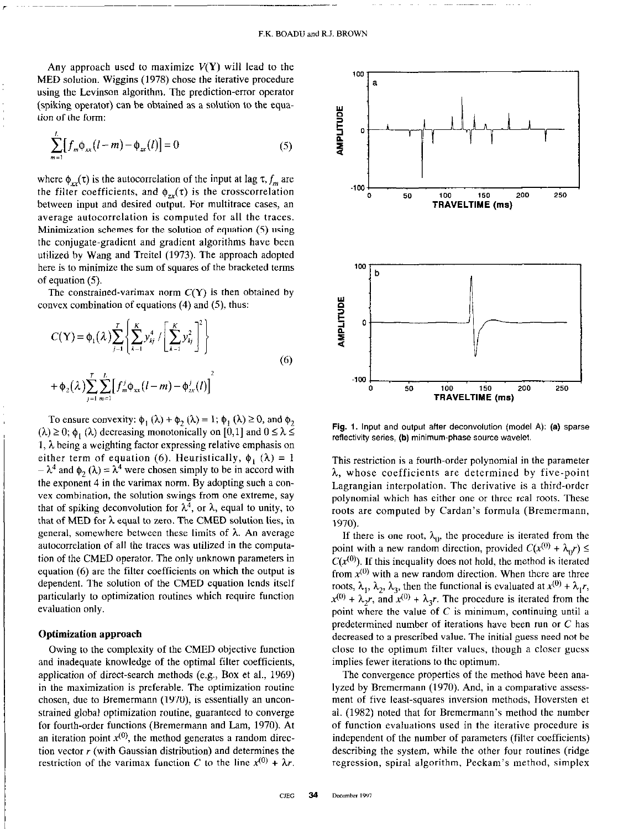Any approach used to maximize  $V(Y)$  will lead to the MED solution. Wiggins (1978) chose the iterative procedure using the Levinson algorithm. The prediction-error operator (spiking operator) can be obtained as a solution to the equation of the form:

$$
\sum_{m=1}^{L} [f_m \phi_{xx}(l-m) - \phi_{xx}(l)] = 0
$$
 (5)

where  $\phi_{xx}(\tau)$  is the autocorrelation of the input at lag  $\tau$ ,  $f_m$  are the filter coefficients, and  $\phi_{\alpha}(t)$  is the crosscorrelation between input and desired output. For multitrace cases, an average autocorrelation is computed for all the traces. Minimization schemes for the solution of equation (5) using the conjugate-gradient and gradient algorithms have been utilized by Wang and Treitel (1973). The approach adopted here is to minimize the sum of squares of the bracketed terms of equation (5).

The constrained-varimax norm  $C(Y)$  is then obtained by convex combination of equations (4) and (5), thus:

$$
C(\mathbf{Y}) = \phi_1(\lambda) \sum_{j=1}^{T} \left\{ \sum_{k=1}^{K} y_{kj}^4 / \left[ \sum_{k=1}^{K} y_{kj}^2 \right]^2 \right\}
$$
  
+  $\phi_2(\lambda) \sum_{j=1}^{T} \sum_{m=1}^{L} \left[ f_m^j \phi_{xx}(l-m) - \phi_{zx}^j(l) \right]^2$  (6)

To ensure convexity:  $\phi_1(\lambda) + \phi_2(\lambda) = 1$ ;  $\phi_1(\lambda) \ge 0$ , and  $\phi_2$  $(\lambda) \ge 0$ ;  $\phi_1$  ( $\lambda$ ) decreasing monotonically on [0,1] and  $0 \le \lambda \le$ 1,  $\lambda$  being a weighting factor expressing relative emphasis on either term of equation (6). Heuristically,  $\phi_1(\lambda) = 1$  $-\lambda^4$  and  $\phi_2(\lambda) = \lambda^4$  were chosen simply to be in accord with the exponent 4 in the varimax norm. By adopting such a convex combination, the solution swings from one extreme, say that of spiking deconvolution for  $\lambda^4$ , or  $\lambda$ , equal to unity, to that of MED for  $\lambda$  equal to zero. The CMED solution lies, in general, somewhere between these limits of  $\lambda$ . An average autocorrelation of all the traces was utilized in the computation of the CMED operator. The only unknown parameters in equation (6) are the filter coefficients on which the output is dependent. The solution of the CMED equation lends itself particularly to optimization routines which require function evaluation only.

### Optimization approach

Owing to the complexity of the CMED objective function and inadequate knowledge of the optimal filter coefficients, application of direct-search methods (e.g., Box et al., 1969) in the maximization is preferable. The optimization routine chosen, due to Bremermann (1970), is essentially an unconstrained global optimization routine, guaranteed to converge for fourth-order functions (Bremermann and Lam, 1970). At an iteration point  $x^{(0)}$ , the method generates a random direction vector  $r$  (with Gaussian distribution) and determines the restriction of the varimax function C to the line  $x^{(0)} + \lambda r$ .



Fig. 1. Input and output after deconvolution (model A): (a) sparse reflectivity series, (b) minimum-phase source wavelet.

This restriction is a fourth-order polynomial in the parameter  $\lambda$ , whose coefficients are determined by five-point Lagrangian interpolation. The derivative is a third-order polynomial which has either one or three real roots. These roots are computed by Cardan's formula (Bremermann, 1970).

If there is one root,  $\lambda_0$ , the procedure is iterated from the point with a new random direction, provided  $C(x^{(0)} + \lambda_0 r) \leq$  $C(x^{(0)})$ . If this inequality does not hold, the method is iterated from  $x^{(0)}$  with a new random direction. When there are three roots,  $\lambda_1$ ,  $\lambda_2$ ,  $\lambda_3$ , then the functional is evaluated at  $x^{(0)} + \lambda_1 r$ ,  $x^{(0)} + \lambda_2 r$ , and  $x^{(0)} + \lambda_3 r$ . The procedure is iterated from the point where the value of C is minimum, continuing until a predetermined number of iterations have been run or C has decreased to a prescribed value. The initial guess need not be close to the optimum filter values, though a closer guess implies fewer iterations to the optimum.

The convergence properties of the method have been analyzed by Bremermann (1970). And, in a comparative assessment of five least-squares inversion methods, Hoversten et al. (1982) noted that for Bremermann's method the number of function evaluations used in the iterative procedure is independent of the number of parameters (filter coefficients) describing the system, while the other four routines (ridge regression, spiral algorithm, Peckam's method, simplex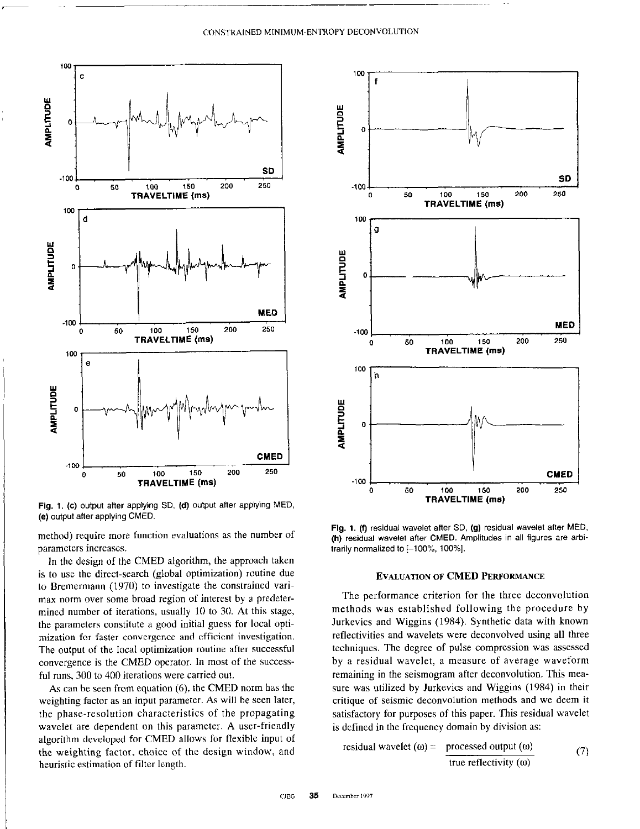#### CONSTRAINED MINIMUM-ENTROPY DECONVOLUTION



Fig. 1. (c) output after applying SD, (d) output after applying MED, (e) output after applying CMED.

method) require more function evaluations as the number of parameters increases.

In the design of the CMED algorithm, the approach taken is to use the direct-search (global optimization) routine due to Bremermann (1970) to investigate the constrained varimax norm over some broad region of interest by a predetermined number of iterations, usually 10 to 30. At this stage, the parameters constitute a good initial guess for local optimization for faster convergence and efficient investigation. The output of the local optimization routine after successful convergence is the CMED operator. In most of the successful runs, 300 to 400 iterations were carried out.

As can be seen from equation (6). the CMED norm has the weighting factor as an input parameter. As will be seen later, the phase-resolution characteristics of the propagating wavelet are dependent on this parameter. A user-friendly algorithm developed for CMED allows for flexible input of the weighting factor, choice of the design window, and heuristic estimation of filter length.



Fig. 1. (f) residual wavelet after SD, (g) residual wavelet after MED. (h) residual wavelet after CMED. Amplitudes in all figures are arbitrarily normalized to [-100%, 100%].

## EVALUATION OF CMED PERFORMANCE

The performance criterion for the three deconvolution methods was established following the procedure by Jurkevics and Wiggins (1984). Synthetic data with known reflectivities and wavelets were deconvolved using all three techniques. The degree of pulse compression was assessed by a residual wavelet, a measure of average waveform remaining in the seismogram after deconvolution. This measure was utilized by Jurkevics and Wiggins (1984) in their critique of seismic deconvolution methods and we deem it satisfactory for purposes of this paper. This residual wavelet is defined in the frequency domain by division as:

residual wavelet (ω) = 
$$
\frac{\text{processed output (ω)}}{\text{true reflectivity (ω)}}
$$
 (7)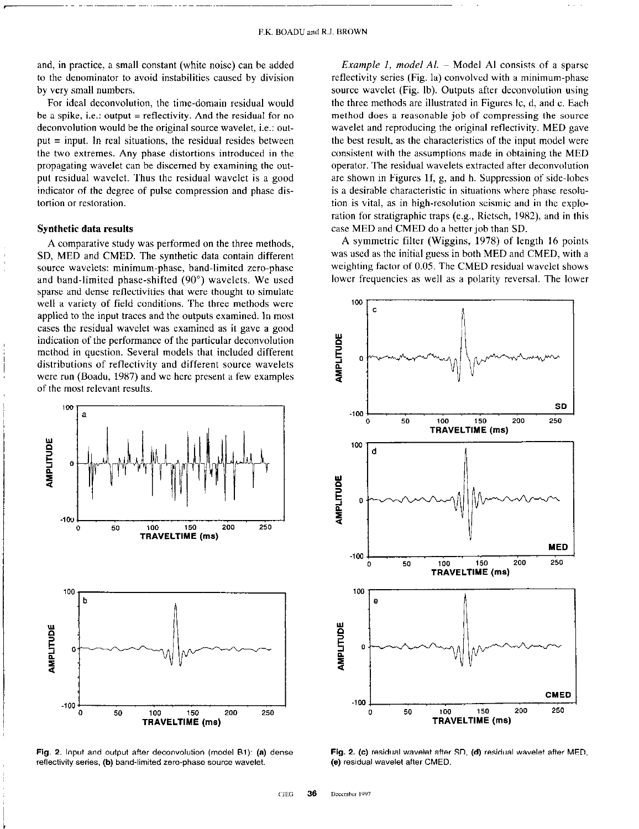and, in practice, a small constant (white noise) can be added to the denominator to avoid instabilities caused by division by very small numbers.

For ideal deconvolution, the time-domain residual would be a spike, i.e.: output = reflectivity. And the residual for no deconvolution would be the original source wavelet, i.e.: output = input. In real situations, the residual resides between the two extremes. Any phase distortions introduced in the propagating wavelet can be discerned by examining the output residual wavelet. Thus the residual wavelet is a good indicator of the degree of pulse compression and phase distortion or restoration.

#### Synthetic data results

A comparative study was performed on the three methods, SD, MED and CMED. The synthetic data contain different source wavelets: minimum-phase, band-limited zero-phase and band-limited phase-shifted (90") wavelets. We used sparse and dense reflectivities that were thought to simulate well a variety of field conditions. The three methods were applied to the input traces and the outputs examined. In most cases the residual wavelet was examined as it gave a good indication of the performance of the particular deconvolution method in question. Several models that included different distributions of reflectivity and different source wavelets were run (Boadu, 1987) and we here present a few examples of the most relevant results



Fig. 2. Input and output after deconvolution (model B1): (a) dense reflectivity series. (b) band-limited zero-phase source wavelet.

*Example 1, model Al.*  $-$  Model Al consists of a sparse reflectivity series (Fig. la) convolved with a minimum-phase source wavelet (Fig. lb). Outputs after deconvolution using the three methods are illustrated in Figures Ic, d, and c. Each method does a reasonable job of compressing the source wavelet and reproducing the original reflectivity. MED gave the best result, as the characteristics of the input model were consistent with the assumptions made in obtaining the MED operator. The residual wavelets extracted after deconvolution are shown in Figures If, g, and h. Suppression of side-lobes is a desirable characteristic in situations where phase resolution is vital, as in high-resolution seismic and in the exploration for stratigraphic traps (e.g., Rictsch, 1982), and in this case MED and CMED do a better job than SD.

A symmetric filter (Wiggins, 1978) of length 16 points was used as the initial guess in both MED and CMED, with a weighting factor of 0.05. The CMED residual wavelet shows lower frequencies as well as a polarity reversal. The lower



Fig. 2. (c) residual wavelet after SD, (d) residual wavelet after MED. (e) residual wavelet after CMED.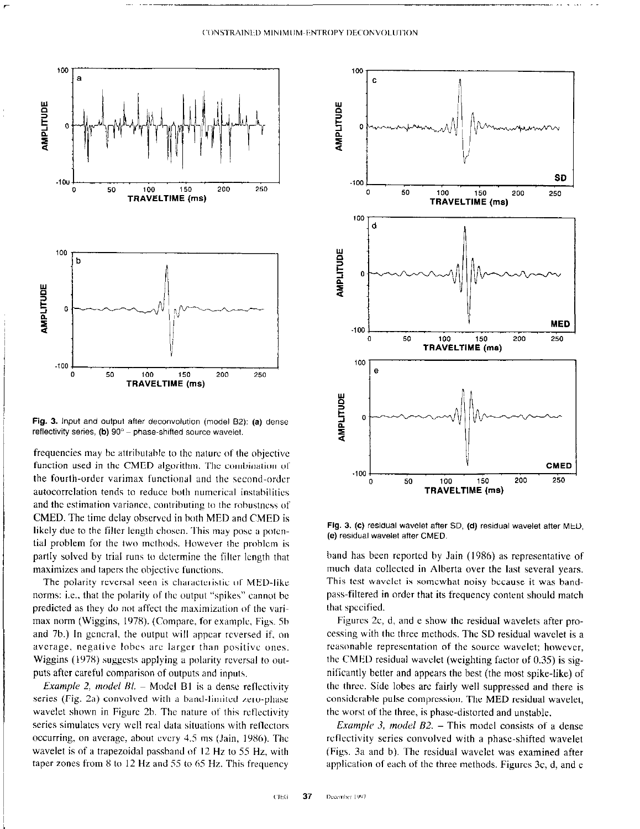

Fig. 3. Input and output after deconvolution (model B2): (a) dense reflectivity series,  $(b)$  90 $^{\circ}$  - phase-shifted source wavelet.

frequencies may hc attrihutahle to the nature of the ohjectivc function used in the CMED algorithm. The combination ot the fourth-order varimax functional and the second-order autocorrclation tends to reduce both numerical instahilitics and the estimation variance, contributing to the robustness of CMED. The time delay observed in both MED and CMED is likely due to the filter length chosen. This may pose a potential problem for the two methods. However the prohlcm is partly solved by trial runs to dctcrmine the filter length that maximizes and tapers the objective functions.

The polarity reversal seen is characteristic of MED-like norms: i.e., that the polarity of the output "spikes" cannot he predicted as they do not affect the maximization of the varimax norm (Wiggins, 1978). (Compare, for example, Figs. 5b and 7h.) In gcncral, the output will appear reversed if, on average. negative lohes arc larger than positive ones. Wiggins (1978) suggests applying a polarity reversal to outputs after careful comparison of outputs and inputs.

Example 2, model  $Bl. -$  Model B1 is a dense reflectivity series (Fig. 2a) convolved with a band-limited zero-phase wavelet shown in Figure 2b. The nature of this reflectivity series simulates very well real data situations with rellcctors occurring, on average, about every 4.5 ms (Jain, 1986). The wavelet is of a trapezoidal passband of 12 Hz to 55 Hz, with taper zones from 8 to 12 Hz and 55 to 65 Hz. This frequency



Fig. 3. (c) residual wavelet after SD, (d) residual wavelet after MED. (e) residual wavelet after CMED.

band has been reported by Jain (1986) as representative of much data collected in Alberta over the last several years. This test wavelet is somewhat noisy because it was bandpass-filtered in order that its frequency content should match that spccificd.

Figures 2c, d, and e show the residual wavelets after processing with the three methods. The SD residual wavelct is a reasonable representation of the source wavelet; however, the CMED residual wavclet (weighting factor of 0.35) is significantly better and appears the hest (the most spike-like) of the three. Side lobes are fairly well suppressed and there is considcrahle pulse compression. The MED residual wavelet, the worst of the three, is phasc-distorted and unstable.

Example 3, model  $B2$ . – This model consists of a dense reflectivity series convolved with a phase-shifted wavelet (Figs. 3a and b). The residual wavelet was examined after application of each of the three methods. Figures 3c, d, and e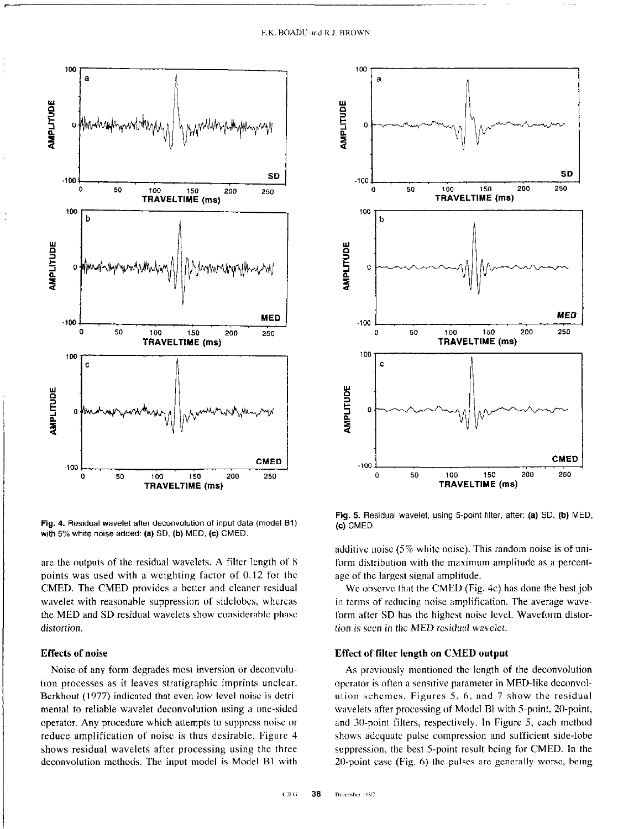

Fig. 4. Residual wavelet after deconvolution of input data (model Bl) with 5% white noise added: (a) SD, (b) MED, (c) CMED.

are the outputs of the residual wavelets. A filter length of 8 points was used with a weighting factor of 0.12 for the CMED. The CMED provides a better and cleaner residual wavelet with reasonable suppression of sidelobes, whereas the MED and SD residual wavelets show considerahlc phase distortion.

## Effects of noise

Noise of any form degrades most inversion or deconvolution processes as it leaves stratigraphic imprints unclear. Berkhout (1977) indicated that even low-level noise is detrimental to reliable wavelet deconvolurion using a one-sided operator. Any procedure which attempts to suppress noise or reduce amplification of noise is thus desirable. Figure 4 shows residual wavelets after processing using the three deconvolution methods. The input model is Model Bl with



Fig. 5. Residual wavelet, using 5-point filter, after: (a) SD, (b) MED, (c) CMED.

additive noise (5% white noise). This random noise is of uniform distribution with the maximum amplitude as a percentage of the largest signal amplitude.

We observe that the CMED (Fig. 4c) has done the best job in terms of reducing noise amplification. The average waveform after SD has the highest noise level. Waveform distortion is seen in the MED residual wavelet.

## Effect of filter length on CMED output

As previously mentioned the length of the deconvolution operator is often a sensitive parameter in MED.like deconvolution schemes. Figures  $5, 6$ , and  $7$  show the residual wavelets after processing of Model BI with 5-point, 20-point, and 30-point filters, respectively. In Figure 5, each method shows adequate pulse compression and sufficient side-lobe suppression, the best 5-point result being for CMED. In the 20-point case (Fig. 6) the pulses are generally worse, being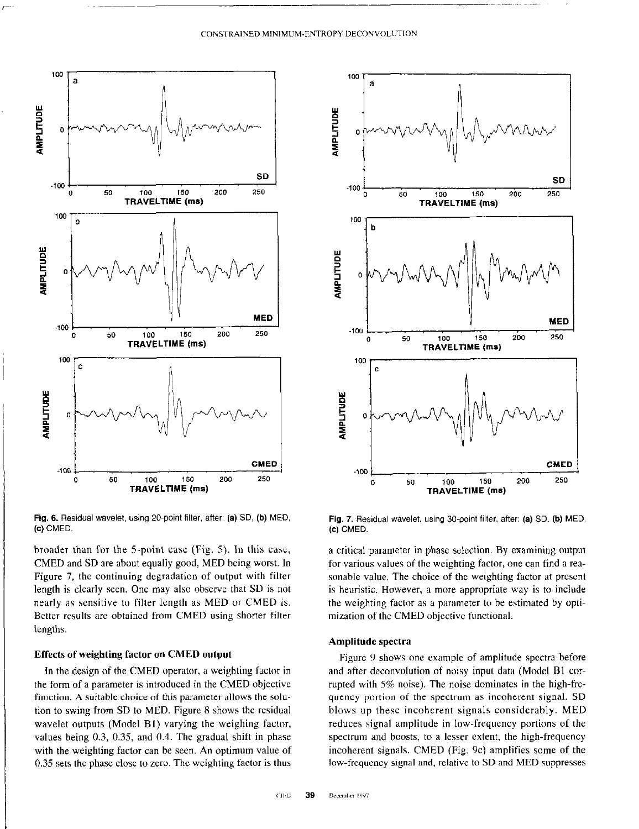

Fig. 6. Residual wavelet, using 20-point filter, after: (a) SD, (b) MED, (c) CMED.

broader than for the 5-point case (Fig. 5). In this case, CMED and SD are about equally good, MED hcing worst. In Figure 7, the continuing degradation of output with filter length is clearly seen. One may also observe that SD is not nearly as sensitive to filter length as MED or CMED is. Better results are obtained from CMED using shorter filter lengths.

### Effects of weighting factor on CMED output

In the design of the CMED operator, a weighting factor in the form of a parameter is introduced in the CMED objective fimction. A suitable choice of this parameter allows the solution to swing from SD to MED. Figure 8 shows the residual wavelet outputs (Model Bl) varying the weighing factor, values being 0.3, 0.35, and 0.4. The gradual shift in phase with the weighting factor can be seen. An optimum value of 0.35 sets the phase close to zero. The weighting factor is thus



Fig. 7. Residual wavelet, using 30.point filter, after: (a) SD, (b) MED, (c) CMED.

a critical parameter in phase selection. By examining output for various values of the weighting factor, one can find a reasonable value. The choice of the weighting factor at present is heuristic. However, a more appropriate way is to include the weighting factor as a parameter to he estimated by optimization of the CMED objective functional.

## Amplitude spectra

Figure 9 shows one example of amplitude spectra before and after deconvolution of noisy input data (Model Bl COTrupted with 5% noise). The noise dominates in the high-frequency portion of the spectrum as incoherent signal. SD blows up these incoherent signals considerably. MED reduces signal amplitude in low-frequency portions of the spectrum and hoosts, to a lesser extent, the high-frequency incoherent signals. CMED (Fig. 9c) amplifies some of the low-frequency signal and, relative to SD and MED suppresses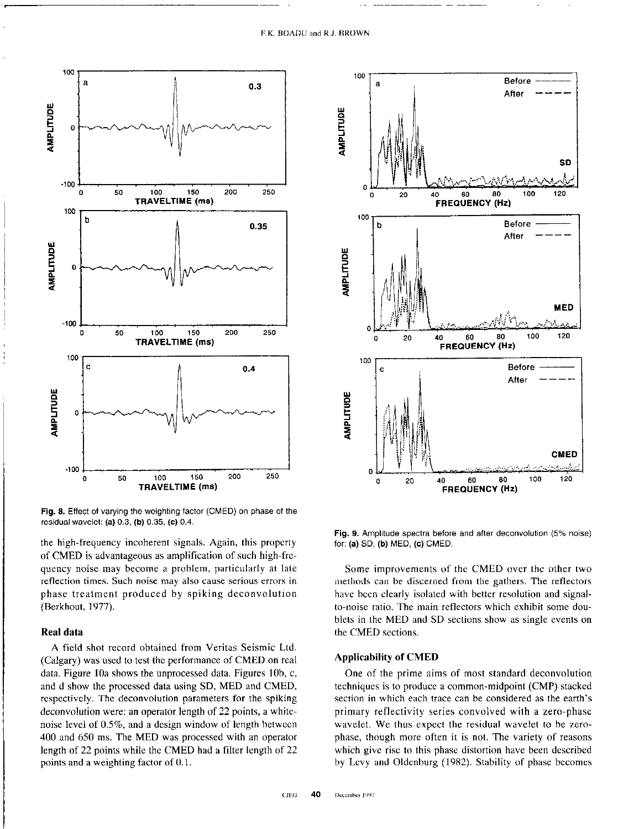

Fig. 8. Effect of varying the weighting factor (CMED) on phase of the residual wavelet: (a) 0.3, (b) 0.35. (c) 0.4.

the high-frequency incoherent signals. Again, this property of CMED is advantageous as amplification of such high-frequency noise may become a problem, particularly at late reflection times. Such noise may also cause serious errors in phase treatment produced by spiking deconvolution (Berkhout, 1977).

# Real data

A field shot record obtained from Veritas Seismic Ltd. (Calgary) was used to test the performance of CMED on real data. Figure 10a shows the unprocessed data. Figures 10b, c, and d show the processed data using SD, MED and CMED, respectively. The deconvolution parameters for the spiking deconvolution were: an operator length of 22 points, a whitenoise level of OS%, and a design window of length hetwccn 400 and 650 ms. The MED was processed with an operator length of 22 points while the CMED had a filter length of 22 points and a weighting factor of 0.1.



Fig. 9. Amplitude spectra before and after deconvolution (5% noise) for: (a) SD. (b) MED. (c) CMED.

Some improvements of the CMED over the other two methods can be discerned from the gathers. The reflectors have been clearly isolated with better resolution and signalto-noise ratio. The main reflectors which exhibit some doublets in the MED and SD sections show as single events on the CMED sections.

# Applicability of CMED

One of the prime aims of most standard deconvolution techniques is to produce a common-midpoint (CMP) stacked section in which each trace can be considered as the earth's primary reflectivity series convolved with a zero-phase wavelet. We thus expect the residual wavelet to be zerophase, though more often it is not. The variety of reasons which give rise to this phase distortion have been described by Levy and Oldcnburg (1982). Stability of phase becomes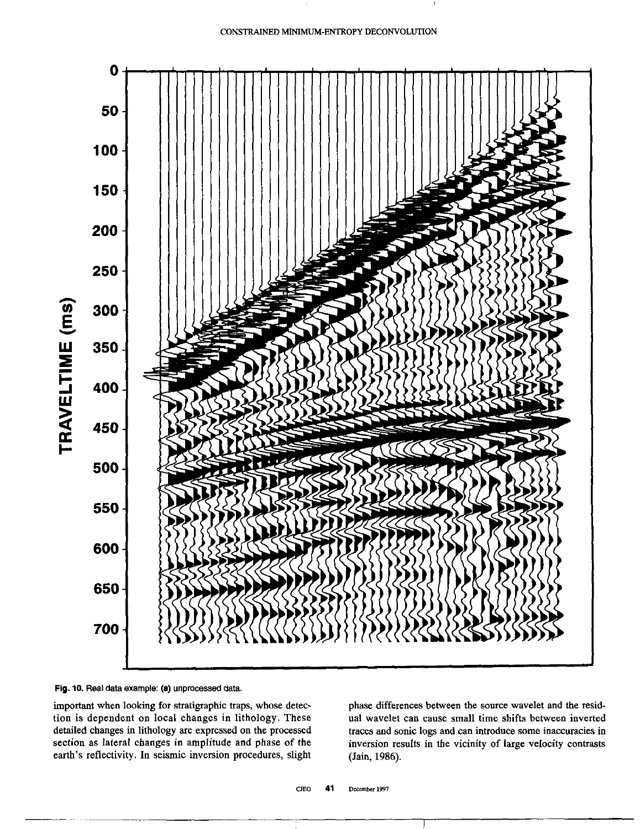



important when looking for stratigraphic traps, whose detection is dependent on local changes in lithology. These detailed changes in lithology are expressed on the processed section as lateral changes in amplitude and phase of the earth's reflectivity. In seismic inversion procedures, slight

phase differences between the source wavelet and the residual wavelet can cause small time shifts between inverted traces and sonic logs and can introduce some inaccuracies in inversion results in the vicinity of large velocity contrasts (Jain, 1986).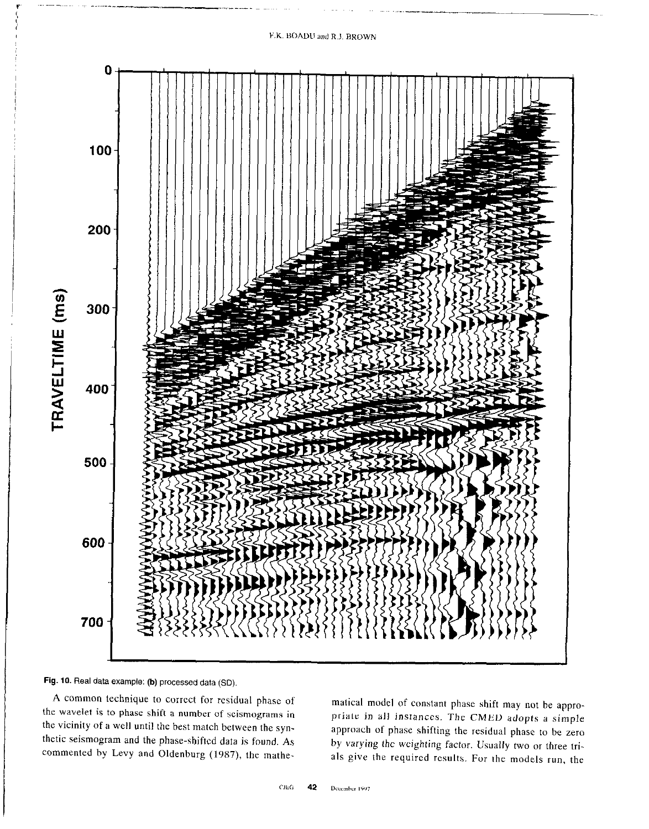# F.K. BOADU and R.J. BROWN





A common technique to correct for residual phase of the wavelet is to phase shift a number of scismograms in the vicinity of a well until the best match between the synthetic seismogram and the phase-shifted data is found. As commented by Levy and Oldenburg (1987), the mathe-

matical model of constant phase shift may not be appropriate in all instances. The CMED adopts a simple approach of phase shifting the residual phase to be zero by varying the weighting factor. Usually two or three trials give the required results. For the models run, the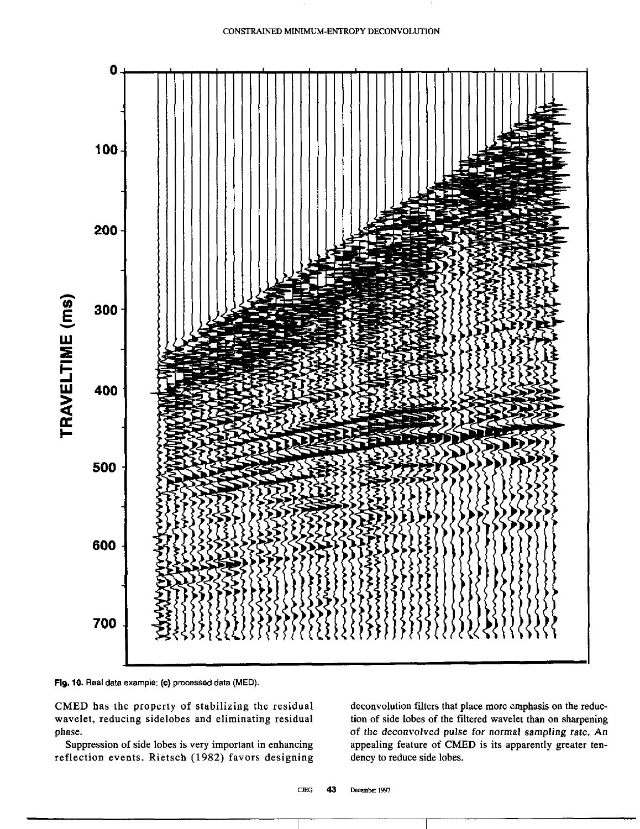

Fig. 10. Real data example: (c) processed data (MED).

CMED has the property of stabilizing the residual wavelet, reducing sidelobes and eliminating residual phase.

Suppression of side lobes is very important in enhancing reflection events. Rietsch (1982) favors designing deconvolution filters that place more emphasis on the reduction of side lobes of the filtered wavelet than on sharpening of the deconvolved pulse for normal sampling rate. An appealing feature of CMED is its apparently greater tendency to reduce side lobes.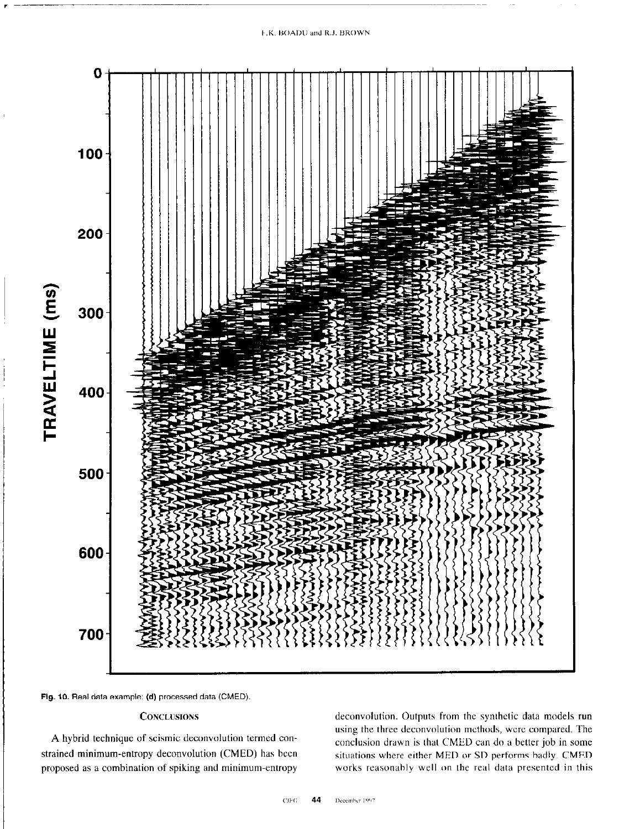#### F.K. BOADU and R.J. BROWN





# **CONCLUSIONS**

A hybrid technique of seismic deconvolution termed constrained minimum-entropy deconvolution (CMED) has been proposed as a combination of spiking and minimum-entropy

deconvolution. Outputs from the synthetic data models run using the three deconvolution methods, wcrc compared. The conclusion drawn is that CMED can do a better job in some situations where either MED or SD performs badly. CMED works reasonably well on the real data presented in this